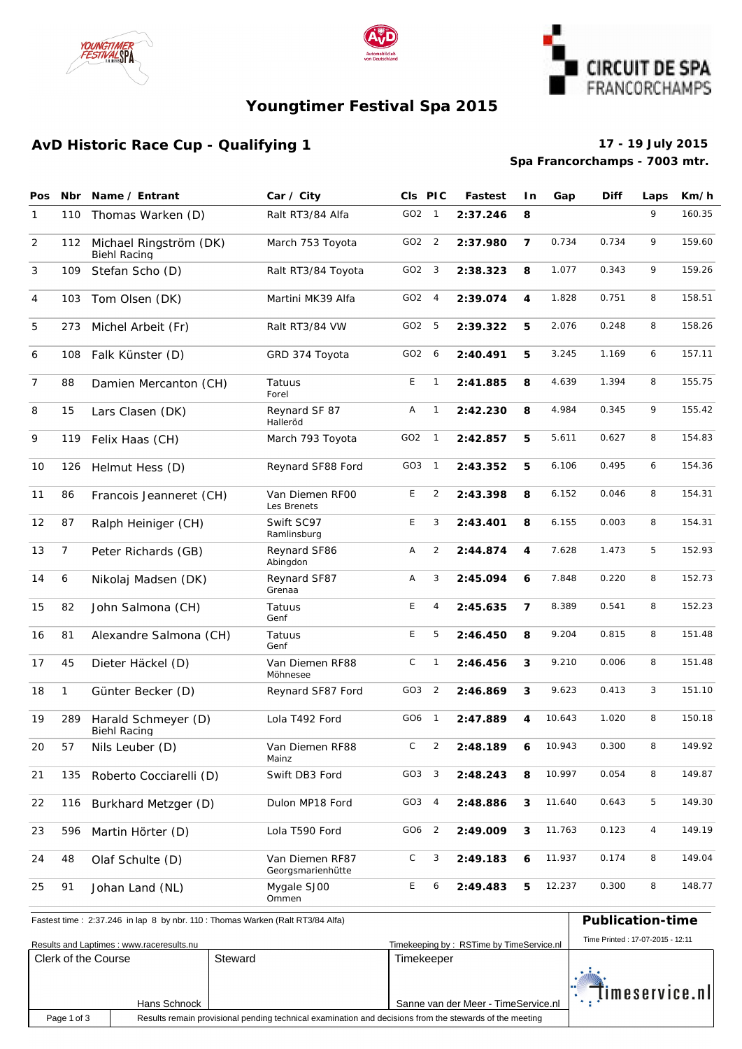





### **Youngtimer Festival Spa 2015**

#### **AvD Historic Race Cup - Qualifying 1 17 - 19 July 2015**

# **Spa Francorchamps - 7003 mtr.**

| <b>Pos</b> | <b>Nbr</b>   | Name / Entrant                                    | Car / City                           | CIs PIC         |                | <b>Fastest</b> | l n            | Gap    | <b>Diff</b> | Laps           | Km/h   |
|------------|--------------|---------------------------------------------------|--------------------------------------|-----------------|----------------|----------------|----------------|--------|-------------|----------------|--------|
| 1          | 110          | Thomas Warken (D)                                 | Ralt RT3/84 Alfa                     | GO2 1           |                | 2:37.246       | 8              |        |             | 9              | 160.35 |
| 2          |              | 112 Michael Ringström (DK)<br><b>Biehl Racing</b> | March 753 Toyota                     | GO2 2           |                | 2:37.980       | $\overline{7}$ | 0.734  | 0.734       | 9              | 159.60 |
| 3          | 109          | Stefan Scho (D)                                   | Ralt RT3/84 Toyota                   | GO2             | 3              | 2:38.323       | 8              | 1.077  | 0.343       | 9              | 159.26 |
| 4          | 103          | Tom Olsen (DK)                                    | Martini MK 39 Alfa                   | GO2             | 4              | 2:39.074       | 4              | 1.828  | 0.751       | 8              | 158.51 |
| 5          | 273          | Michel Arbeit (Fr)                                | Ralt RT3/84 VW                       | GO2             | 5              | 2:39.322       | 5              | 2.076  | 0.248       | 8              | 158.26 |
| 6          | 108          | Falk Künster (D)                                  | GRD 374 Toyota                       | GO2 6           |                | 2:40.491       | 5              | 3.245  | 1.169       | 6              | 157.11 |
| 7          | 88           | Damien Mercanton (CH)                             | Tatuus<br>Forel                      | E               | $\mathbf{1}$   | 2:41.885       | 8              | 4.639  | 1.394       | 8              | 155.75 |
| 8          | 15           | Lars Clasen (DK)                                  | Reynard SF 87<br>Halleröd            | Α               | $\mathbf{1}$   | 2:42.230       | 8              | 4.984  | 0.345       | 9              | 155.42 |
| 9          | 119          | Felix Haas (CH)                                   | March 793 Toyota                     | GO <sub>2</sub> | $\mathbf{1}$   | 2:42.857       | 5              | 5.611  | 0.627       | 8              | 154.83 |
| 10         | 126          | Helmut Hess (D)                                   | Reynard SF88 Ford                    | GO3             | $\overline{1}$ | 2:43.352       | 5              | 6.106  | 0.495       | 6              | 154.36 |
| 11         | 86           | Francois Jeanneret (CH)                           | Van Diemen RFOO<br>Les Brenets       | E               | 2              | 2:43.398       | 8              | 6.152  | 0.046       | 8              | 154.31 |
| 12         | 87           | Ralph Heiniger (CH)                               | Swift SC97<br>Ramlinsburg            | E               | 3              | 2:43.401       | 8              | 6.155  | 0.003       | 8              | 154.31 |
| 13         | 7            | Peter Richards (GB)                               | Reynard SF86<br>Abingdon             | Α               | 2              | 2:44.874       | 4              | 7.628  | 1.473       | 5              | 152.93 |
| 14         | 6            | Nikolaj Madsen (DK)                               | Reynard SF87<br>Grenaa               | Α               | 3              | 2:45.094       | 6              | 7.848  | 0.220       | 8              | 152.73 |
| 15         | 82           | John Salmona (CH)                                 | Tatuus<br>Genf                       | E               | $\overline{4}$ | 2:45.635       | 7              | 8.389  | 0.541       | 8              | 152.23 |
| 16         | 81           | Alexandre Salmona (CH)                            | Tatuus<br>Genf                       | E               | 5              | 2:46.450       | 8              | 9.204  | 0.815       | 8              | 151.48 |
| 17         | 45           | Dieter Häckel (D)                                 | Van Diemen RF88<br>Möhnesee          | C               | $\mathbf{1}$   | 2:46.456       | 3              | 9.210  | 0.006       | 8              | 151.48 |
| 18         | $\mathbf{1}$ | Günter Becker (D)                                 | Reynard SF87 Ford                    | GO3             | $\overline{2}$ | 2:46.869       | 3              | 9.623  | 0.413       | 3              | 151.10 |
| 19         | 289          | Harald Schmeyer (D)<br><b>Biehl Racing</b>        | Lola T492 Ford                       | GO6             | $\overline{1}$ | 2:47.889       | 4              | 10.643 | 1.020       | 8              | 150.18 |
| 20         | 57           | Nils Leuber (D)                                   | Van Diemen RF88<br>Mainz             | С               | $\overline{2}$ | 2:48.189       |                | 10.943 | 0.300       | 8              | 149.92 |
| 21         | 135          | Roberto Cocciarelli (D)                           | Swift DB3 Ford                       | GO3 3           |                | 2:48.243       | 8              | 10.997 | 0.054       | 8              | 149.87 |
| 22         | 116          | Burkhard Metzger (D)                              | Dulon MP18 Ford                      | GO3             | 4              | 2:48.886       | 3              | 11.640 | 0.643       | 5              | 149.30 |
| 23         | 596          | Martin Hörter (D)                                 | Lola T590 Ford                       | GO6             | $\overline{2}$ | 2:49.009       | 3              | 11.763 | 0.123       | $\overline{4}$ | 149.19 |
| 24         | 48           | Olaf Schulte (D)                                  | Van Diemen RF87<br>Georgsmarienhütte | С               | 3              | 2:49.183       | 6              | 11.937 | 0.174       | 8              | 149.04 |
| 25         | 91           | Johan Land (NL)                                   | Mygale SJ00<br>Ommen                 | E               | 6              | 2:49.483       | 5              | 12.237 | 0.300       | 8              | 148.77 |

Fastest time : 2:37.246 in lap 8 by nbr. 110 : Thomas Warken (Ralt RT3/84 Alfa) **Publication-time** 

| Results and Laptimes: www.raceresults.nu | Time Printed: 17-07-2015 - 12:11 |         |                                     |                |
|------------------------------------------|----------------------------------|---------|-------------------------------------|----------------|
| Clerk of the Course                      |                                  | Steward | Timekeeper                          |                |
|                                          | Hans Schnock                     |         | Sanne van der Meer - TimeService.nl | timeservice.nl |
| Page 1 of 3                              |                                  |         |                                     |                |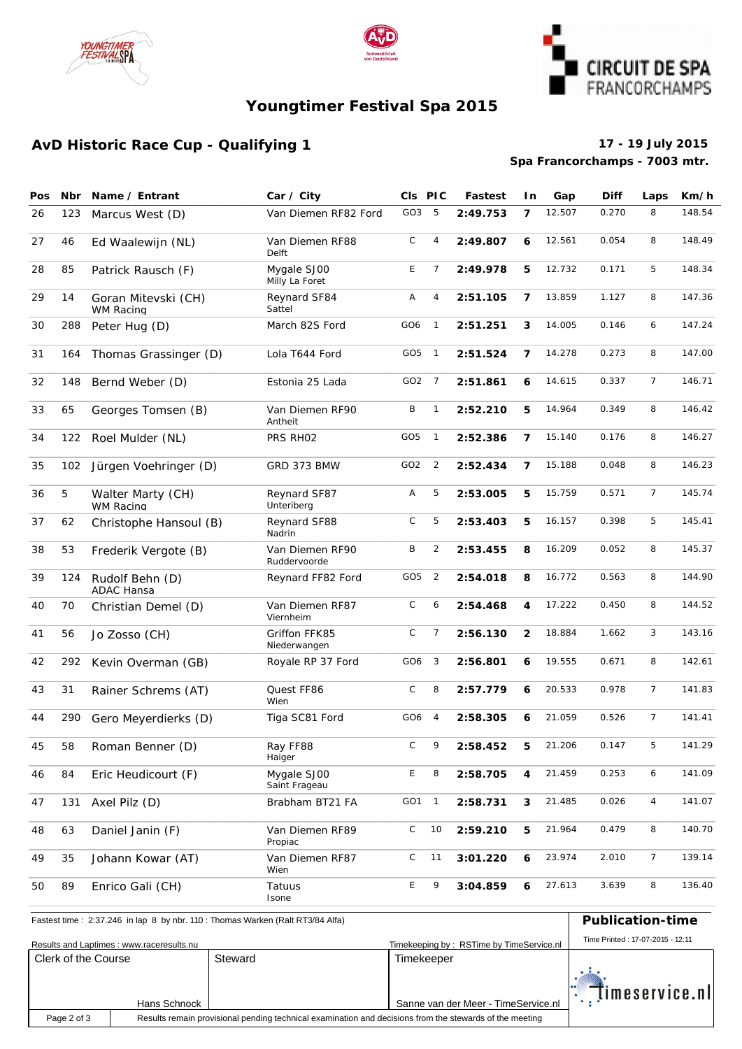





### **Youngtimer Festival Spa 2015**

#### **AvD Historic Race Cup - Qualifying 1 17 - 19 July 2015**

# **Spa Francorchamps - 7003 mtr.**

| Pos | <b>Nbr</b> | Name / Entrant                        | Car / City                      |                 | CIs PIC                      | Fastest  | I n            | Gap    | <b>Diff</b> | Laps           | Km/h   |
|-----|------------|---------------------------------------|---------------------------------|-----------------|------------------------------|----------|----------------|--------|-------------|----------------|--------|
| 26  | 123        | Marcus West (D)                       | Van Diemen RF82 Ford            | GO3             | 5                            | 2:49.753 | $\overline{7}$ | 12.507 | 0.270       | 8              | 148.54 |
| 27  | 46         | Ed Waalewijn (NL)                     | Van Diemen RF88<br>Delft        | C               | 12.561<br>4<br>2:49.807<br>6 |          |                | 0.054  | 8           | 148.49         |        |
| 28  | 85         | Patrick Rausch (F)                    | Mygale SJ00<br>Milly La Foret   | E               | 7<br>2:49.978                |          | 5              | 12.732 | 0.171       | 5              | 148.34 |
| 29  | 14         | Goran Mitevski (CH)<br>WM Racing      | Reynard SF84<br>Sattel          | Α               | 4                            | 2:51.105 | $\overline{7}$ | 13.859 | 1.127       | 8              | 147.36 |
| 30  | 288        | Peter Hug (D)                         | March 82S Ford                  | GO6             | $\mathbf{1}$                 | 2:51.251 | 3              | 14.005 | 0.146       | 6              | 147.24 |
| 31  | 164        | Thomas Grassinger (D)                 | Lola T644 Ford                  | GO5             | $\overline{\phantom{0}}$     | 2:51.524 | $\overline{7}$ | 14.278 | 0.273       | 8              | 147.00 |
| 32  | 148        | Bernd Weber (D)                       | Estonia 25 Lada                 | GO <sub>2</sub> | $\overline{7}$               | 2:51.861 | 6              | 14.615 | 0.337       | $\overline{7}$ | 146.71 |
| 33  | 65         | Georges Tomsen (B)                    | Van Diemen RF90<br>Antheit      | B               | $\mathbf{1}$                 | 2:52.210 | 5              | 14.964 | 0.349       | 8              | 146.42 |
| 34  | 122        | Roel Mulder (NL)                      | PRS RHO2                        | GO <sub>5</sub> | $\overline{1}$               | 2:52.386 | $\overline{7}$ | 15.140 | 0.176       | 8              | 146.27 |
| 35  | 102        | Jürgen Voehringer (D)                 | GRD 373 BMW                     | GO <sub>2</sub> | $\overline{2}$               | 2:52.434 | $\overline{7}$ | 15.188 | 0.048       | 8              | 146.23 |
| 36  | 5          | Walter Marty (CH)<br><b>WM Racing</b> | Reynard SF87<br>Unteriberg      | Α               | 5                            | 2:53.005 | 5              | 15.759 | 0.571       | $\overline{7}$ | 145.74 |
| 37  | 62         | Christophe Hansoul (B)                | Reynard SF88<br>Nadrin          | C               | 5                            | 2:53.403 | 5              | 16.157 | 0.398       | 5              | 145.41 |
| 38  | 53         | Frederik Vergote (B)                  | Van Diemen RF90<br>Ruddervoorde | B               | $\overline{2}$               | 2:53.455 | 8              | 16.209 | 0.052       | 8              | 145.37 |
| 39  | 124        | Rudolf Behn (D)<br><b>ADAC Hansa</b>  | Reynard FF82 Ford               | GO5             | $\overline{2}$               | 2:54.018 | 8              | 16.772 | 0.563       | 8              | 144.90 |
| 40  | 70         | Christian Demel (D)                   | Van Diemen RF87<br>Viernheim    | $\mathsf C$     | 6                            | 2:54.468 | 4              | 17.222 | 0.450       | 8              | 144.52 |
| 41  | 56         | Jo Zosso (CH)                         | Griffon FFK85<br>Niederwangen   | $\mathsf C$     | 7                            | 2:56.130 | $\mathbf{2}$   | 18.884 | 1.662       | 3              | 143.16 |
| 42  | 292        | Kevin Overman (GB)                    | Royale RP 37 Ford               | GO6             | 3                            | 2:56.801 | 6              | 19.555 | 0.671       | 8              | 142.61 |
| 43  | 31         | Rainer Schrems (AT)                   | Quest FF86<br>Wien              | C               | 8                            | 2:57.779 | 6              | 20.533 | 0.978       | $\overline{7}$ | 141.83 |
| 44  | 290        | Gero Meyerdierks (D)                  | Tiga SC81 Ford                  | GO6             | $\overline{4}$               | 2:58.305 | 6              | 21.059 | 0.526       | $\overline{7}$ | 141.41 |
| 45  | 58         | Roman Benner (D)                      | Ray FF88<br>Haiger              | C               | 9                            | 2:58.452 | 5              | 21.206 | 0.147       | 5.             | 141.29 |
| 46  | 84         | Eric Heudicourt (F)                   | Mygale SJ00<br>Saint Frageau    | E               | 8                            | 2:58.705 | 4              | 21.459 | 0.253       | 6              | 141.09 |
| 47  | 131        | Axel Pilz (D)                         | Brabham BT21 FA                 | GO1             | $\overline{1}$               | 2:58.731 | 3              | 21.485 | 0.026       | $\overline{4}$ | 141.07 |
| 48  | 63         | Daniel Janin (F)                      | Van Diemen RF89<br>Propiac      | $\mathsf C$     | 10                           | 2:59.210 | 5              | 21.964 | 0.479       | 8              | 140.70 |
| 49  | 35         | Johann Kowar (AT)                     | Van Diemen RF87<br>Wien         | $\mathsf C$     | 11                           | 3:01.220 | 6              | 23.974 | 2.010       | $\overline{7}$ | 139.14 |
| 50  | 89         | Enrico Gali (CH)                      | Tatuus<br>Isone                 | E               | 9                            | 3:04.859 | 6              | 27.613 | 3.639       | 8              | 136.40 |

## Fastest time : 2:37.246 in lap 8 by nbr. 110 : Thomas Warken (Ralt RT3/84 Alfa) **Publication-time**

| Results and Laptimes: www.raceresults.nu | Time Printed: 17-07-2015 - 12:11 |         |                                     |                |
|------------------------------------------|----------------------------------|---------|-------------------------------------|----------------|
| Clerk of the Course                      |                                  | Steward | Timekeeper                          |                |
|                                          | Hans Schnock                     |         | Sanne van der Meer - TimeService.nl | Timeservice.nl |
| Page 2 of 3                              |                                  |         |                                     |                |